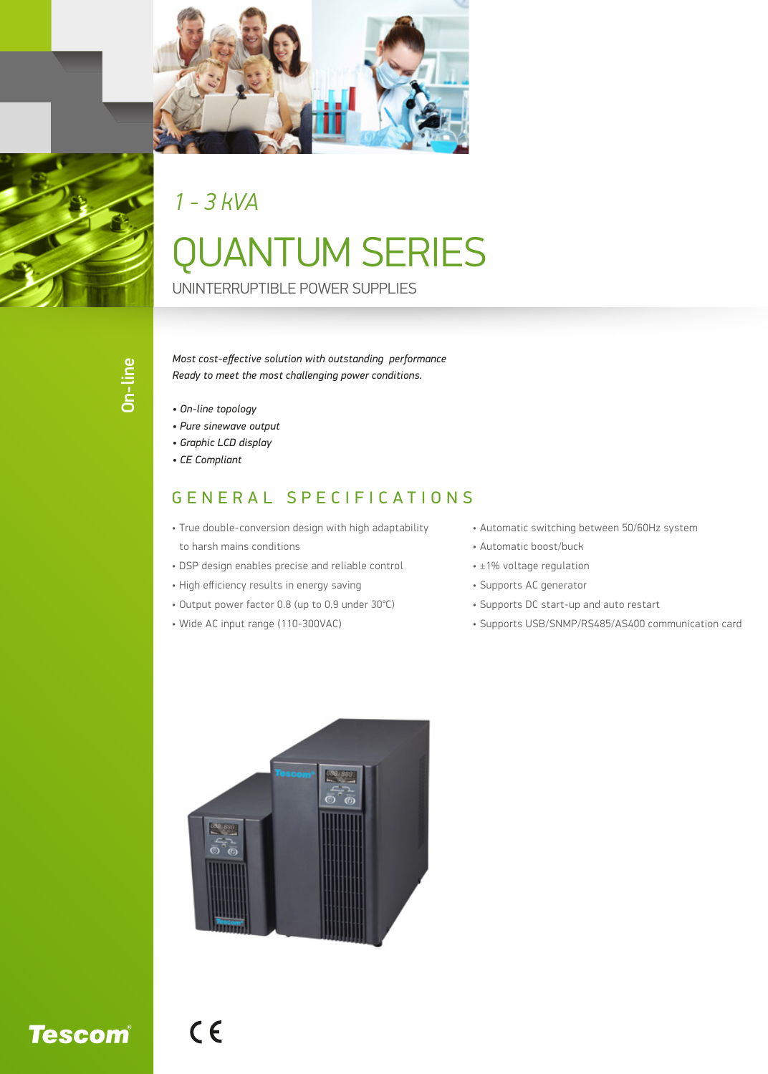

*1 - 3 kVA*

## QUANTUM SERIES

UNINTERRUPTIBLE POWER SUPPLIES

*Most cost-effective solution with outstanding performance Ready to meet the most challenging power conditions.*

- *On-line topology*
- *Pure sinewave output*
- *Graphic LCD display*
- *CE Compliant*

## GENERAL SPECIFICATIONS

- True double-conversion design with high adaptability to harsh mains conditions
- DSP design enables precise and reliable control
- High efficiency results in energy saving
- Output power factor 0.8 (up to 0.9 under 30℃)
- Wide AC input range (110-300VAC)
- Automatic switching between 50/60Hz system
- Automatic boost/buck
- ±1% voltage regulation
- Supports AC generator
- Supports DC start-up and auto restart
- Supports USB/SNMP/RS485/AS400 communication card



 $C<sub>6</sub>$